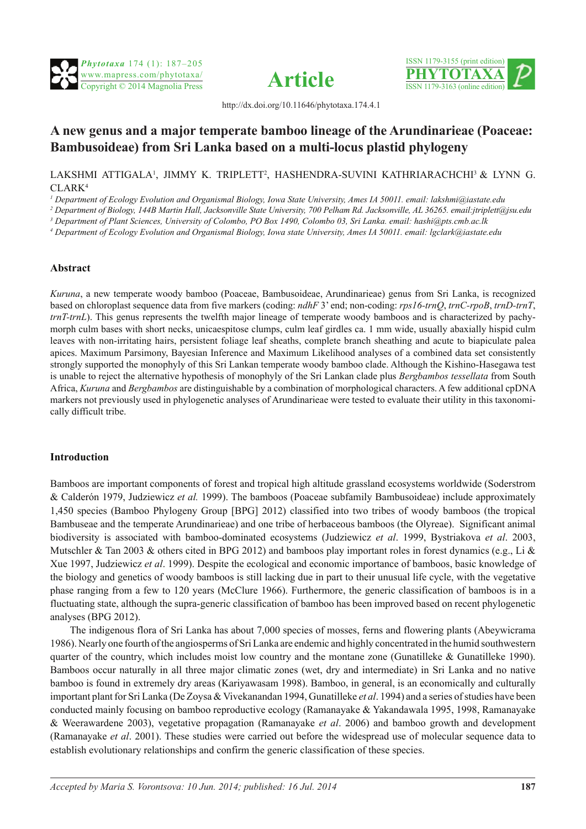





http://dx.doi.org/10.11646/phytotaxa.174.4.1

## **A new genus and a major temperate bamboo lineage of the Arundinarieae (Poaceae: Bambusoideae) from Sri Lanka based on a multi-locus plastid phylogeny**

LAKSHMI ATTIGALA<sup>1</sup>, JIMMY K. TRIPLETT<sup>2</sup>, HASHENDRA-SUVINI KATHRIARACHCHI<sup>3</sup> & LYNN G. CLARK4

*1 Department of Ecology Evolution and Organismal Biology, Iowa State University, Ames IA 50011. email: lakshmi@iastate.edu*

*2 Department of Biology, 144B Martin Hall, Jacksonville State University, 700 Pelham Rd. Jacksonville, AL 36265. email:[jtriplett@jsu.edu](jtriplett@jsu.edu
)*

*3 Department of Plant Sciences, University of Colombo, PO Box 1490, Colombo 03, Sri Lanka. email: hashi@pts.cmb.ac.lk*

*4 Department of Ecology Evolution and Organismal Biology, Iowa state University, Ames IA 50011. email: lgclark@iastate.edu*

## **Abstract**

*Kuruna*, a new temperate woody bamboo (Poaceae, Bambusoideae, Arundinarieae) genus from Sri Lanka, is recognized based on chloroplast sequence data from five markers (coding: *ndhF* 3' end; non-coding: *rps16-trnQ*, *trnC-rpoB*, *trnD-trnT*, *trnT-trnL*). This genus represents the twelfth major lineage of temperate woody bamboos and is characterized by pachymorph culm bases with short necks, unicaespitose clumps, culm leaf girdles ca. 1 mm wide, usually abaxially hispid culm leaves with non-irritating hairs, persistent foliage leaf sheaths, complete branch sheathing and acute to biapiculate palea apices. Maximum Parsimony, Bayesian Inference and Maximum Likelihood analyses of a combined data set consistently strongly supported the monophyly of this Sri Lankan temperate woody bamboo clade. Although the Kishino-Hasegawa test is unable to reject the alternative hypothesis of monophyly of the Sri Lankan clade plus *Bergbambos tessellata* from South Africa, *Kuruna* and *Bergbambos* are distinguishable by a combination of morphological characters. A few additional cpDNA markers not previously used in phylogenetic analyses of Arundinarieae were tested to evaluate their utility in this taxonomically difficult tribe.

## **Introduction**

Bamboos are important components of forest and tropical high altitude grassland ecosystems worldwide (Soderstrom & Calderón 1979, Judziewicz *et al.* 1999). The bamboos (Poaceae subfamily Bambusoideae) include approximately 1,450 species (Bamboo Phylogeny Group [BPG] 2012) classified into two tribes of woody bamboos (the tropical Bambuseae and the temperate Arundinarieae) and one tribe of herbaceous bamboos (the Olyreae). Significant animal biodiversity is associated with bamboo-dominated ecosystems (Judziewicz *et al*. 1999, Bystriakova *et al*. 2003, Mutschler & Tan 2003 & others cited in BPG 2012) and bamboos play important roles in forest dynamics (e.g., Li & Xue 1997, Judziewicz *et al*. 1999). Despite the ecological and economic importance of bamboos, basic knowledge of the biology and genetics of woody bamboos is still lacking due in part to their unusual life cycle, with the vegetative phase ranging from a few to 120 years (McClure 1966). Furthermore, the generic classification of bamboos is in a fluctuating state, although the supra-generic classification of bamboo has been improved based on recent phylogenetic analyses (BPG 2012).

The indigenous flora of Sri Lanka has about 7,000 species of mosses, ferns and flowering plants (Abeywicrama 1986). Nearly one fourth of the angiosperms of Sri Lanka are endemic and highly concentrated in the humid southwestern quarter of the country, which includes moist low country and the montane zone (Gunatilleke  $\&$  Gunatilleke 1990). Bamboos occur naturally in all three major climatic zones (wet, dry and intermediate) in Sri Lanka and no native bamboo is found in extremely dry areas (Kariyawasam 1998). Bamboo, in general, is an economically and culturally important plant for Sri Lanka (De Zoysa & Vivekanandan 1994, Gunatilleke *et al*. 1994) and a series of studies have been conducted mainly focusing on bamboo reproductive ecology (Ramanayake & Yakandawala 1995, 1998, Ramanayake & Weerawardene 2003), vegetative propagation (Ramanayake *et al*. 2006) and bamboo growth and development (Ramanayake *et al*. 2001). These studies were carried out before the widespread use of molecular sequence data to establish evolutionary relationships and confirm the generic classification of these species.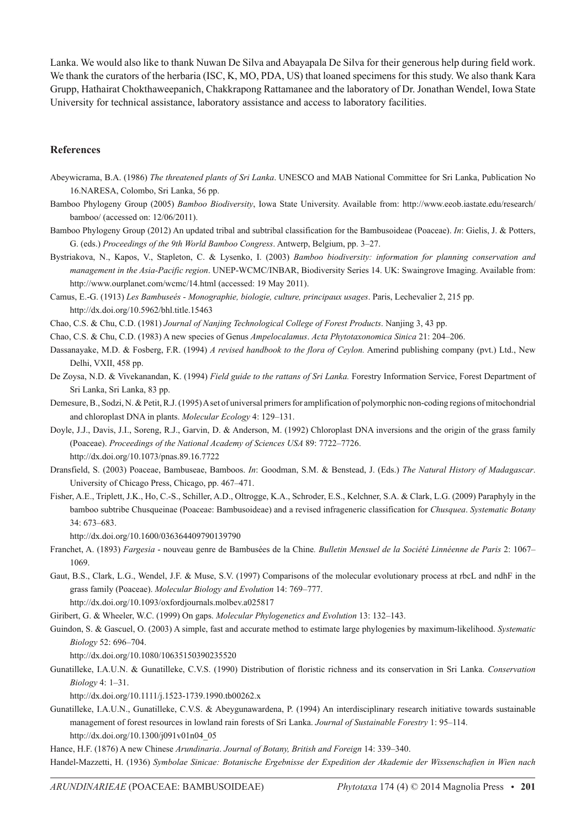Lanka. We would also like to thank Nuwan De Silva and Abayapala De Silva for their generous help during field work. We thank the curators of the herbaria (ISC, K, MO, PDA, US) that loaned specimens for this study. We also thank Kara Grupp, Hathairat Chokthaweepanich, Chakkrapong Rattamanee and the laboratory of Dr. Jonathan Wendel, Iowa State University for technical assistance, laboratory assistance and access to laboratory facilities.

## **References**

- Abeywicrama, B.A. (1986) *The threatened plants of Sri Lanka*. UNESCO and MAB National Committee for Sri Lanka, Publication No 16.NARESA, Colombo, Sri Lanka, 56 pp.
- Bamboo Phylogeny Group (2005) *Bamboo Biodiversity*, Iowa State University. Available from: http://www.eeob.iastate.edu/research/ bamboo/ (accessed on: 12/06/2011).
- Bamboo Phylogeny Group (2012) An updated tribal and subtribal classification for the Bambusoideae (Poaceae). *In*: Gielis, J. & Potters, G. (eds.) *Proceedings of the 9th World Bamboo Congress*. Antwerp, Belgium, pp. 3–27.
- Bystriakova, N., Kapos, V., Stapleton, C. & Lysenko, I. (2003) *Bamboo biodiversity: information for planning conservation and management in the Asia-Pacific region*. UNEP-WCMC/INBAR, Biodiversity Series 14. UK: Swaingrove Imaging. Available from: http://www.ourplanet.com/wcmc/14.html (accessed: 19 May 2011).
- Camus, E.-G. (1913) *Les Bambuseés Monographie, biologie, culture, principaux usages*. Paris, Lechevalier 2, 215 pp. http://dx.doi.org/10.5962/bhl.title.15463
- Chao, C.S. & Chu, C.D. (1981) *Journal of Nanjing Technological College of Forest Products*. Nanjing 3, 43 pp.
- Chao, C.S. & Chu, C.D. (1983) A new species of Genus *Ampelocalamus*. *Acta Phytotaxonomica Sinica* 21: 204–206.
- Dassanayake, M.D. & Fosberg, F.R. (1994) *A revised handbook to the flora of Ceylon.* Amerind publishing company (pvt.) Ltd., New Delhi, VXII, 458 pp.
- De Zoysa, N.D. & Vivekanandan, K. (1994) *Field guide to the rattans of Sri Lanka.* Forestry Information Service, Forest Department of Sri Lanka, Sri Lanka, 83 pp.
- Demesure, B., Sodzi, N. & Petit, R.J. (1995) A set of universal primers for amplification of polymorphic non-coding regions of mitochondrial and chloroplast DNA in plants. *Molecular Ecology* 4: 129–131.
- Doyle, J.J., Davis, J.I., Soreng, R.J., Garvin, D. & Anderson, M. (1992) Chloroplast DNA inversions and the origin of the grass family (Poaceae). *Proceedings of the National Academy of Sciences USA* 89: 7722–7726. http://dx.doi.org/10.1073/pnas.89.16.7722
- Dransfield, S. (2003) Poaceae, Bambuseae, Bamboos. *In*: Goodman, S.M. & Benstead, J. (Eds.) *The Natural History of Madagascar*. University of Chicago Press, Chicago, pp. 467–471.
- Fisher, A.E., Triplett, J.K., Ho, C.-S., Schiller, A.D., Oltrogge, K.A., Schroder, E.S., Kelchner, S.A. & Clark, L.G. (2009) Paraphyly in the bamboo subtribe Chusqueinae (Poaceae: Bambusoideae) and a revised infrageneric classification for *Chusquea*. *Systematic Botany* 34: 673–683.

http://dx.doi.org/10.1600/036364409790139790

- Franchet, A. (1893) *Fargesia* nouveau genre de Bambusées de la Chine*. Bulletin Mensuel de la Société Linnéenne de Paris* 2: 1067– 1069.
- Gaut, B.S., Clark, L.G., Wendel, J.F. & Muse, S.V. (1997) Comparisons of the molecular evolutionary process at rbcL and ndhF in the grass family (Poaceae). *Molecular Biology and Evolution* 14: 769–777. http://dx.doi.org/10.1093/oxfordjournals.molbev.a025817

Giribert, G. & Wheeler, W.C. (1999) On gaps. *Molecular Phylogenetics and Evolution* 13: 132–143.

Guindon, S. & Gascuel, O. (2003) A simple, fast and accurate method to estimate large phylogenies by maximum-likelihood. *Systematic Biology* 52: 696–704.

http://dx.doi.org/10.1080/10635150390235520

Gunatilleke, I.A.U.N. & Gunatilleke, C.V.S. (1990) Distribution of floristic richness and its conservation in Sri Lanka. *Conservation Biology* 4: 1–31.

http://dx.doi.org/10.1111/j.1523-1739.1990.tb00262.x

Gunatilleke, I.A.U.N., Gunatilleke, C.V.S. & Abeygunawardena, P. (1994) An interdisciplinary research initiative towards sustainable management of forest resources in lowland rain forests of Sri Lanka. *Journal of Sustainable Forestry* 1: 95–114. http://dx.doi.org/10.1300/j091v01n04\_05

Hance, H.F. (1876) A new Chinese *Arundinaria*. *Journal of Botany, British and Foreign* 14: 339–340.

Handel-Mazzetti, H. (1936) *Symbolae Sinicae: Botanische Ergebnisse der Expedition der Akademie der Wissenschafien in Wien nach*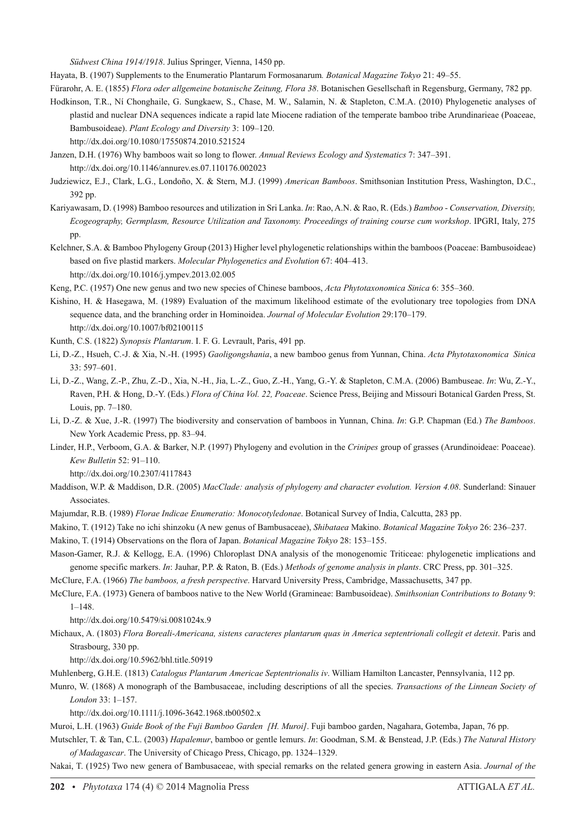*Südwest China 1914/1918*. Julius Springer, Vienna, 1450 pp.

Hayata, B. (1907) Supplements to the Enumeratio Plantarum Formosanarum*. Botanical Magazine Tokyo* 21: 49–55.

Fürarohr, A. E. (1855) *Flora oder allgemeine botanische Zeitung, Flora 38*. Botanischen Gesellschaft in Regensburg, Germany, 782 pp.

Hodkinson, T.R., Ní Chonghaile, G. Sungkaew, S., Chase, M. W., Salamin, N. & Stapleton, C.M.A. (2010) Phylogenetic analyses of plastid and nuclear DNA sequences indicate a rapid late Miocene radiation of the temperate bamboo tribe Arundinarieae (Poaceae, Bambusoideae). *Plant Ecology and Diversity* 3: 109–120. http://dx.doi.org/10.1080/17550874.2010.521524

Janzen, D.H. (1976) Why bamboos wait so long to flower. *Annual Reviews Ecology and Systematics* 7: 347–391. http://dx.doi.org/10.1146/annurev.es.07.110176.002023

Judziewicz, E.J., Clark, L.G., Londoño, X. & Stern, M.J. (1999) *American Bamboos*. Smithsonian Institution Press, Washington, D.C., 392 pp.

Kariyawasam, D. (1998) Bamboo resources and utilization in Sri Lanka. *In*: Rao, A.N. & Rao, R. (Eds.) *Bamboo - Conservation, Diversity, Ecogeography, Germplasm, Resource Utilization and Taxonomy. Proceedings of training course cum workshop*. IPGRI, Italy, 275 pp.

Kelchner, S.A. & Bamboo Phylogeny Group (2013) Higher level phylogenetic relationships within the bamboos (Poaceae: Bambusoideae) based on five plastid markers. *Molecular Phylogenetics and Evolution* 67: 404–413. http://dx.doi.org/10.1016/j.ympev.2013.02.005

Keng, P.C. (1957) One new genus and two new species of Chinese bamboos, *Acta Phytotaxonomica Sinica* 6: 355–360.

Kishino, H. & Hasegawa, M. (1989) Evaluation of the maximum likelihood estimate of the evolutionary tree topologies from DNA sequence data, and the branching order in Hominoidea. *Journal of Molecular Evolution* 29:170–179. http://dx.doi.org/10.1007/bf02100115

Kunth, C.S. (1822) *Synopsis Plantarum*. I. F. G. Levrault, Paris, 491 pp.

Li, D.-Z., Hsueh, C.-J. & Xia, N.-H. (1995) *Gaoligongshania*, a new bamboo genus from Yunnan, China. *Acta Phytotaxonomica Sinica*  33: 597–601.

Li, D.-Z., Wang, Z.-P., Zhu, Z.-D., Xia, N.-H., Jia, L.-Z., Guo, Z.-H., Yang, G.-Y. & Stapleton, C.M.A. (2006) Bambuseae. *In*: Wu, Z.-Y., Raven, P.H. & Hong, D.-Y. (Eds.) *Flora of China Vol. 22, Poaceae*. Science Press, Beijing and Missouri Botanical Garden Press, St. Louis, pp. 7–180.

Li, D.-Z. & Xue, J.-R. (1997) The biodiversity and conservation of bamboos in Yunnan, China. *In*: G.P. Chapman (Ed.) *The Bamboos*. New York Academic Press, pp. 83–94.

Linder, H.P., Verboom, G.A. & Barker, N.P. (1997) Phylogeny and evolution in the *Crinipes* group of grasses (Arundinoideae: Poaceae). *Kew Bulletin* 52: 91–110.

http://dx.doi.org/10.2307/4117843

Maddison, W.P. & Maddison, D.R. (2005) *MacClade: analysis of phylogeny and character evolution. Version 4.08*. Sunderland: Sinauer Associates.

- Majumdar, R.B. (1989) *Florae Indicae Enumeratio: Monocotyledonae*. Botanical Survey of India, Calcutta, 283 pp.
- Makino, T. (1912) Take no ichi shinzoku (A new genus of Bambusaceae), *Shibataea* Makino. *Botanical Magazine Tokyo* 26: 236–237.

Makino, T. (1914) Observations on the flora of Japan. *Botanical Magazine Tokyo* 28: 153–155.

Mason-Gamer, R.J. & Kellogg, E.A. (1996) Chloroplast DNA analysis of the monogenomic Triticeae: phylogenetic implications and genome specific markers. *In*: Jauhar, P.P. & Raton, B. (Eds.) *Methods of genome analysis in plants*. CRC Press, pp. 301–325.

McClure, F.A. (1966) *The bamboos, a fresh perspective*. Harvard University Press, Cambridge, Massachusetts, 347 pp.

McClure, F.A. (1973) Genera of bamboos native to the New World (Gramineae: Bambusoideae). *Smithsonian Contributions to Botany* 9: 1–148.

http://dx.doi.org/10.5479/si.0081024x.9

Michaux, A. (1803) *Flora Boreali-Americana, sistens caracteres plantarum quas in America septentrionali collegit et detexit*. Paris and Strasbourg, 330 pp.

http://dx.doi.org/10.5962/bhl.title.50919

Muhlenberg, G.H.E. (1813) *Catalogus Plantarum Americae Septentrionalis iv*. William Hamilton Lancaster, Pennsylvania, 112 pp.

Munro, W. (1868) A monograph of the Bambusaceae, including descriptions of all the species. *Transactions of the Linnean Society of London* 33: 1–157.

http://dx.doi.org/10.1111/j.1096-3642.1968.tb00502.x

Muroi, L.H. (1963) *Guide Book of the Fuji Bamboo Garden [H. Muroi]*. Fuji bamboo garden, Nagahara, Gotemba, Japan, 76 pp.

Mutschler, T. & Tan, C.L. (2003) *Hapalemur*, bamboo or gentle lemurs. *In*: Goodman, S.M. & Benstead, J.P. (Eds.) *The Natural History of Madagascar*. The University of Chicago Press, Chicago, pp. 1324–1329.

Nakai, T. (1925) Two new genera of Bambusaceae, with special remarks on the related genera growing in eastern Asia. *Journal of the*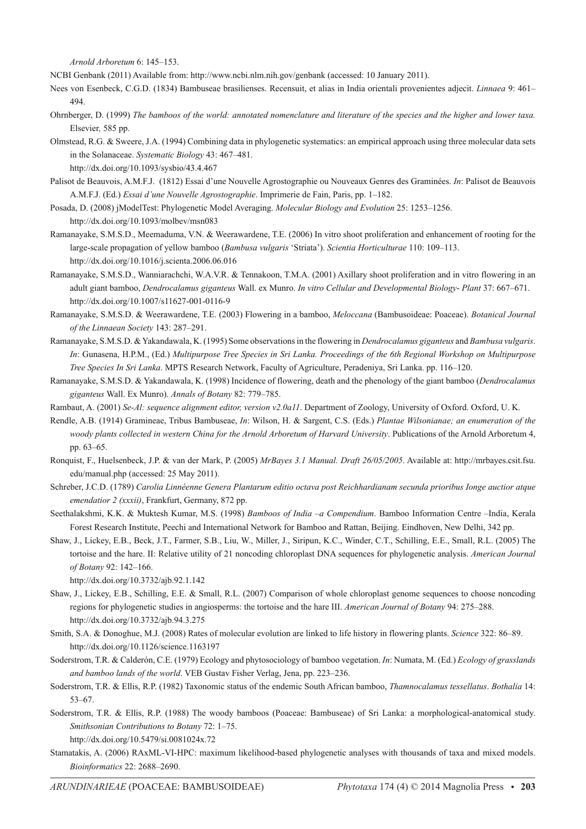*Arnold Arboretum* 6: 145–153.

NCBI Genbank (2011) Available from: http://www.ncbi.nlm.nih.gov/genbank (accessed: 10 January 2011).

- Nees von Esenbeck, C.G.D. (1834) Bambuseae brasilienses. Recensuit, et alias in India orientali provenientes adjecit. *Linnaea* 9: 461– 494.
- Ohrnberger, D. (1999) *The bamboos of the world: annotated nomenclature and literature of the species and the higher and lower taxa.*  Elsevier*,* 585 pp.
- Olmstead, R.G. & Sweere, J.A. (1994) Combining data in phylogenetic systematics: an empirical approach using three molecular data sets in the Solanaceae. *Systematic Biology* 43: 467–481.

http://dx.doi.org/10.1093/sysbio/43.4.467

- Palisot de Beauvois, A.M.F.J. (1812) Essai d'une Nouvelle Agrostographie ou Nouveaux Genres des Graminées. *In*: Palisot de Beauvois A.M.F.J. (Ed.) *Essai d'une Nouvelle Agrostographie*. Imprimerie de Fain, Paris, pp. 1–182.
- Posada, D. (2008) jModelTest: Phylogenetic Model Averaging. *Molecular Biology and Evolution* 25: 1253–1256. http://dx.doi.org/10.1093/molbev/msn083
- Ramanayake, S.M.S.D., Meemaduma, V.N. & Weerawardene, T.E. (2006) In vitro shoot proliferation and enhancement of rooting for the large-scale propagation of yellow bamboo (*Bambusa vulgaris* 'Striata'). *Scientia Horticulturae* 110: 109–113. http://dx.doi.org/10.1016/j.scienta.2006.06.016
- Ramanayake, S.M.S.D., Wanniarachchi, W.A.V.R. & Tennakoon, T.M.A. (2001) Axillary shoot proliferation and in vitro flowering in an adult giant bamboo, *Dendrocalamus giganteus* Wall. ex Munro. *In vitro Cellular and Developmental Biology*- *Plant* 37: 667–671. http://dx.doi.org/10.1007/s11627-001-0116-9
- Ramanayake, S.M.S.D. & Weerawardene, T.E. (2003) Flowering in a bamboo, *Meloccana* (Bambusoideae: Poaceae). *Botanical Journal of the Linnaean Society* 143: 287–291.
- Ramanayake, S.M.S.D. & Yakandawala, K. (1995) Some observations in the flowering in *Dendrocalamus giganteus* and *Bambusa vulgaris*. *In*: Gunasena, H.P.M., (Ed.) *Multipurpose Tree Species in Sri Lanka. Proceedings of the 6th Regional Workshop on Multipurpose Tree Species In Sri Lanka*. MPTS Research Network, Faculty of Agriculture, Peradeniya, Sri Lanka. pp. 116–120.
- Ramanayake, S.M.S.D. & Yakandawala, K. (1998) Incidence of flowering, death and the phenology of the giant bamboo (*Dendrocalamus giganteus* Wall. Ex Munro). *Annals of Botany* 82: 779–785.
- Rambaut, A. (2001) *Se-Al: sequence alignment editor, version v2.0a11*. Department of Zoology, University of Oxford. Oxford, U. K.
- Rendle, A.B. (1914) Gramineae, Tribus Bambuseae, *In*: Wilson, H. & Sargent, C.S. (Eds.) *Plantae Wilsonianae; an enumeration of the woody plants collected in western China for the Arnold Arboretum of Harvard University*. Publications of the Arnold Arboretum 4, pp. 63–65.
- Ronquist, F., Huelsenbeck, J.P. & van der Mark, P. (2005) *MrBayes 3.1 Manual. Draft 26/05/2005*. Available at: http://mrbayes.csit.fsu. edu/manual.php (accessed: 25 May 2011).
- Schreber, J.C.D. (1789) *Carolia Linnéenne Genera Plantarum editio octava post Reichhardianam secunda prioribus Ionge auctior atque emendatior 2 (xxxii)*, Frankfurt, Germany, 872 pp.
- Seethalakshmi, K.K. & Muktesh Kumar, M.S. (1998) *Bamboos of India –a Compendium*. Bamboo Information Centre –India, Kerala Forest Research Institute, Peechi and International Network for Bamboo and Rattan, Beijing. Eindhoven, New Delhi, 342 pp.
- Shaw, J., Lickey, E.B., Beck, J.T., Farmer, S.B., Liu, W., Miller, J., Siripun, K.C., Winder, C.T., Schilling, E.E., Small, R.L. (2005) The tortoise and the hare. II: Relative utility of 21 noncoding chloroplast DNA sequences for phylogenetic analysis. *American Journal of Botany* 92: 142–166.

http://dx.doi.org/10.3732/ajb.92.1.142

- Shaw, J., Lickey, E.B., Schilling, E.E. & Small, R.L. (2007) Comparison of whole chloroplast genome sequences to choose noncoding regions for phylogenetic studies in angiosperms: the tortoise and the hare III. *American Journal of Botany* 94: 275–288. http://dx.doi.org/10.3732/ajb.94.3.275
- Smith, S.A. & Donoghue, M.J. (2008) Rates of molecular evolution are linked to life history in flowering plants. *Science* 322: 86–89. http://dx.doi.org/10.1126/science.1163197
- Soderstrom, T.R. & Calderón, C.E. (1979) Ecology and phytosociology of bamboo vegetation. *In*: Numata, M. (Ed.) *Ecology of grasslands and bamboo lands of the world*. VEB Gustav Fisher Verlag, Jena, pp. 223–236.
- Soderstrom, T.R. & Ellis, R.P. (1982) Taxonomic status of the endemic South African bamboo, *Thamnocalamus tessellatus*. *Bothalia* 14: 53–67.
- Soderstrom, T.R. & Ellis, R.P. (1988) The woody bamboos (Poaceae: Bambuseae) of Sri Lanka: a morphological-anatomical study. *Smithsonian Contributions to Botany* 72: 1–75.

http://dx.doi.org/10.5479/si.0081024x.72

Stamatakis, A. (2006) RAxML-VI-HPC: maximum likelihood-based phylogenetic analyses with thousands of taxa and mixed models. *Bioinformatics* 22: 2688–2690.